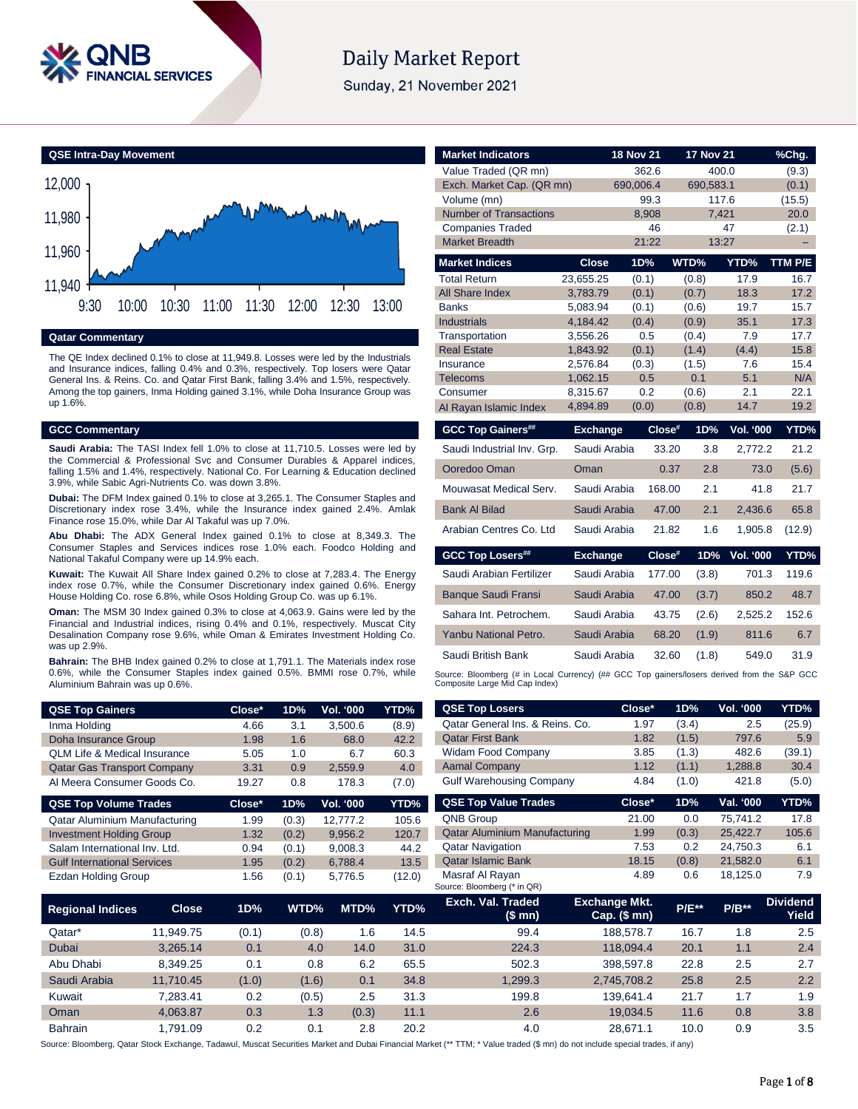

# **Daily Market Report**

Sunday, 21 November 2021



**Qatar Commentary**

The QE Index declined 0.1% to close at 11,949.8. Losses were led by the Industrials and Insurance indices, falling 0.4% and 0.3%, respectively. Top losers were Qatar General Ins. & Reins. Co. and Qatar First Bank, falling 3.4% and 1.5%, respectively. Among the top gainers, Inma Holding gained 3.1%, while Doha Insurance Group was up 1.6%.

#### **GCC Commentary**

**Saudi Arabia:** The TASI Index fell 1.0% to close at 11,710.5. Losses were led by the Commercial & Professional Svc and Consumer Durables & Apparel indices, falling 1.5% and 1.4%, respectively. National Co. For Learning & Education declined 3.9%, while Sabic Agri-Nutrients Co. was down 3.8%.

**Dubai:** The DFM Index gained 0.1% to close at 3,265.1. The Consumer Staples and Discretionary index rose 3.4%, while the Insurance index gained 2.4%. Amlak Finance rose 15.0%, while Dar Al Takaful was up 7.0%.

**Abu Dhabi:** The ADX General Index gained 0.1% to close at 8,349.3. The Consumer Staples and Services indices rose 1.0% each. Foodco Holding and National Takaful Company were up 14.9% each.

**Kuwait:** The Kuwait All Share Index gained 0.2% to close at 7,283.4. The Energy index rose 0.7%, while the Consumer Discretionary index gained 0.6%. Energy House Holding Co. rose 6.8%, while Osos Holding Group Co. was up 6.1%.

**Oman:** The MSM 30 Index gained 0.3% to close at 4,063.9. Gains were led by the Financial and Industrial indices, rising 0.4% and 0.1%, respectively. Muscat City Desalination Company rose 9.6%, while Oman & Emirates Investment Holding Co. was up 2.9%.

**Bahrain:** The BHB Index gained 0.2% to close at 1,791.1. The Materials index rose 0.6%, while the Consumer Staples index gained 0.5%. BMMI rose 0.7%, while Aluminium Bahrain was up 0.6%.

| <b>QSE Top Gainers</b>                  | Close* | 1D% | Vol. '000 | YTD%  |
|-----------------------------------------|--------|-----|-----------|-------|
| Inma Holding                            | 4.66   | 3.1 | 3,500.6   | (8.9) |
| Doha Insurance Group                    | 1.98   | 1.6 | 68.0      | 42.2  |
| <b>QLM Life &amp; Medical Insurance</b> | 5.05   | 1.0 | 6.7       | 60.3  |
| <b>Qatar Gas Transport Company</b>      | 3.31   | 0.9 | 2,559.9   | 4.0   |
| Al Meera Consumer Goods Co.             | 19.27  | 0.8 | 178.3     | (7.0) |

| <b>QSE Top Volume Trades</b>       | Close* | 1D%   | <b>Vol. '000</b> | YTD%   |
|------------------------------------|--------|-------|------------------|--------|
| Qatar Aluminium Manufacturing      | 1.99   | (0.3) | 12.777.2         | 105.6  |
| <b>Investment Holding Group</b>    | 1.32   | (0.2) | 9.956.2          | 120.7  |
| Salam International Inv. Ltd.      | 0.94   | (0.1) | 9,008.3          | 44.2   |
| <b>Gulf International Services</b> | 1.95   | (0.2) | 6,788.4          | 13.5   |
| <b>Ezdan Holding Group</b>         | 1.56   | (0.1) | 5,776.5          | (12.0) |
|                                    |        |       |                  |        |

| <b>Market Indicators</b>      |                      | <b>18 Nov 21</b> | <b>17 Nov 21</b> |                  | %Chg.       |
|-------------------------------|----------------------|------------------|------------------|------------------|-------------|
| Value Traded (QR mn)          |                      | 362.6            | 400.0            |                  | (9.3)       |
| Exch. Market Cap. (QR mn)     |                      | 690,006.4        | 690,583.1        |                  | (0.1)       |
| Volume (mn)                   |                      | 99.3             | 117.6            |                  | (15.5)      |
| <b>Number of Transactions</b> |                      | 8,908            | 7,421            |                  | 20.0        |
| <b>Companies Traded</b>       |                      | 46               |                  | 47               | (2.1)       |
| <b>Market Breadth</b>         |                      | 21:22            | 13:27            |                  | ÷           |
| <b>Market Indices</b>         | Close                | 1D%              | WTD%             | YTD%             | TTM P/E     |
| <b>Total Return</b>           | 23,655.25            | (0.1)            | (0.8)            | 17.9             | 16.7        |
| All Share Index               | 3,783.79             | (0.1)            | (0.7)            | 18.3             | 17.2        |
| <b>Banks</b>                  | 5,083.94             | (0.1)            | (0.6)            | 19.7             | 15.7        |
| <b>Industrials</b>            | 4,184.42             | (0.4)            | (0.9)            | 35.1             | 17.3        |
| Transportation                | 3,556.26             | 0.5              | (0.4)            | 7.9              | 17.7        |
| <b>Real Estate</b>            | 1,843.92             | (0.1)            | (1.4)            | (4.4)            | 15.8        |
| Insurance                     | 2.576.84             | (0.3)            | (1.5)            | 7.6<br>5.1       | 15.4        |
| Telecoms<br>Consumer          | 1,062.15<br>8,315.67 | 0.5<br>0.2       | 0.1<br>(0.6)     | 2.1              | N/A<br>22.1 |
| Al Rayan Islamic Index        | 4,894.89             | (0.0)            | (0.8)            | 14.7             | 19.2        |
|                               |                      |                  |                  |                  |             |
|                               |                      |                  |                  |                  |             |
| <b>GCC Top Gainers##</b>      | <b>Exchange</b>      | Close#           | 1D%              | <b>Vol. '000</b> | YTD%        |
| Saudi Industrial Inv. Grp.    | Saudi Arabia         | 33.20            | 3.8              | 2,772.2          | 21.2        |
| Ooredoo Oman                  | Oman                 | 0.37             | 2.8              | 73.0             | (5.6)       |
| Mouwasat Medical Serv.        | Saudi Arabia         | 168.00           | 2.1              | 41.8             | 21.7        |
| <b>Bank Al Bilad</b>          | Saudi Arabia         | 47.00            | 2.1              | 2.436.6          | 65.8        |
| Arabian Centres Co. Ltd       | Saudi Arabia         | 21.82            | 1.6              | 1,905.8          | (12.9)      |
| <b>GCC Top Losers##</b>       | <b>Exchange</b>      | Close#           | 1D%              | <b>Vol. '000</b> | YTD%        |
| Saudi Arabian Fertilizer      | Saudi Arabia         | 177.00           | (3.8)            | 701.3            | 119.6       |
| <b>Banque Saudi Fransi</b>    | Saudi Arabia         | 47.00            | (3.7)            | 850.2            | 48.7        |
| Sahara Int. Petrochem.        | Saudi Arabia         | 43.75            | (2.6)            | 2,525.2          | 152.6       |
| Yanbu National Petro.         | Saudi Arabia         | 68.20            | (1.9)            | 811.6            | 6.7         |
| Saudi British Bank            | Saudi Arabia         | 32.60            | (1.8)            | 549.0            | 31.9        |

| <b>QSE Top Gainers</b>                  |              | Close* | 1D%                     | Vol. '000 | YTD%                            | <b>QSE Top Losers</b>                          | Close*                                 | 1D%        | Vol. '000 | YTD%                     |
|-----------------------------------------|--------------|--------|-------------------------|-----------|---------------------------------|------------------------------------------------|----------------------------------------|------------|-----------|--------------------------|
| Inma Holding                            |              | 4.66   | 3.1<br>3,500.6<br>(8.9) |           | Qatar General Ins. & Reins. Co. | 1.97                                           | (3.4)                                  | 2.5        | (25.9)    |                          |
| Doha Insurance Group                    |              | 1.98   | 1.6                     | 68.0      | 42.2                            | <b>Qatar First Bank</b>                        | 1.82                                   | (1.5)      | 797.6     | 5.9                      |
| <b>QLM Life &amp; Medical Insurance</b> |              | 5.05   | 1.0                     | 6.7       | 60.3                            | <b>Widam Food Company</b>                      | 3.85                                   | (1.3)      | 482.6     | (39.1)                   |
| <b>Qatar Gas Transport Company</b>      |              | 3.31   | 0.9                     | 2,559.9   | 4.0                             | <b>Aamal Company</b>                           | 1.12                                   | (1.1)      | 1,288.8   | 30.4                     |
| Al Meera Consumer Goods Co.             |              | 19.27  | 0.8                     | 178.3     | (7.0)                           | <b>Gulf Warehousing Company</b>                | 4.84                                   | (1.0)      | 421.8     | (5.0)                    |
| <b>QSE Top Volume Trades</b>            |              | Close* | 1D%                     | Vol. '000 | YTD%                            | <b>QSE Top Value Trades</b>                    | Close*                                 | 1D%        | Val. '000 | YTD%                     |
| Qatar Aluminium Manufacturing           |              | 1.99   | (0.3)                   | 12,777.2  | 105.6                           | <b>QNB Group</b>                               | 21.00                                  | 0.0        | 75,741.2  | 17.8                     |
| <b>Investment Holding Group</b>         |              | 1.32   | (0.2)                   | 9,956.2   | 120.7                           | <b>Qatar Aluminium Manufacturing</b>           | 1.99                                   | (0.3)      | 25,422.7  | 105.6                    |
| Salam International Inv. Ltd.           |              | 0.94   | (0.1)                   | 9,008.3   | 44.2                            | <b>Qatar Navigation</b>                        | 7.53                                   | 0.2        | 24,750.3  | 6.1                      |
| <b>Gulf International Services</b>      |              | 1.95   | (0.2)                   | 6,788.4   | 13.5                            | <b>Qatar Islamic Bank</b>                      | 18.15                                  | (0.8)      | 21,582.0  | 6.1                      |
| Ezdan Holding Group                     |              | 1.56   | (0.1)                   | 5,776.5   | (12.0)                          | Masraf Al Rayan<br>Source: Bloomberg (* in QR) | 4.89                                   | 0.6        | 18,125.0  | 7.9                      |
| <b>Regional Indices</b>                 | <b>Close</b> | 1D%    | WTD%                    | MTD%      | YTD%                            | Exch. Val. Traded<br>(\$ mn)                   | <b>Exchange Mkt.</b><br>$Cap.$ (\$ mn) | $P/E^{**}$ | $P/B**$   | <b>Dividend</b><br>Yield |
| Qatar*                                  | 11,949.75    | (0.1)  | (0.8)                   | 1.6       | 14.5                            | 99.4                                           | 188,578.7                              | 16.7       | 1.8       | 2.5                      |
| Dubai                                   | 3,265.14     | 0.1    | 4.0                     | 14.0      | 31.0                            | 224.3                                          | 118,094.4                              | 20.1       | 1.1       | 2.4                      |
| Abu Dhabi                               | 8,349.25     | 0.1    | 0.8                     | 6.2       | 65.5                            | 502.3                                          | 398,597.8                              | 22.8       | 2.5       | 2.7                      |
| Saudi Arabia                            | 11,710.45    | (1.0)  | (1.6)                   | 0.1       | 34.8                            | 1,299.3                                        | 2,745,708.2                            | 25.8       | 2.5       | 2.2                      |
| Kuwait                                  | 7,283.41     | 0.2    | (0.5)                   | 2.5       | 31.3                            | 199.8                                          | 139,641.4                              | 21.7       | 1.7       | 1.9                      |
| Oman                                    | 4,063.87     | 0.3    | 1.3                     | (0.3)     | 11.1                            | 2.6                                            | 19,034.5                               | 11.6       | 0.8       | 3.8                      |
| <b>Bahrain</b>                          | 1,791.09     | 0.2    | 0.1                     | 2.8       | 20.2                            | 4.0                                            | 28,671.1                               | 10.0       | 0.9       | 3.5                      |

Source: Bloomberg, Qatar Stock Exchange, Tadawul, Muscat Securities Market and Dubai Financial Market (\*\* TTM; \* Value traded (\$ mn) do not include special trades, if any)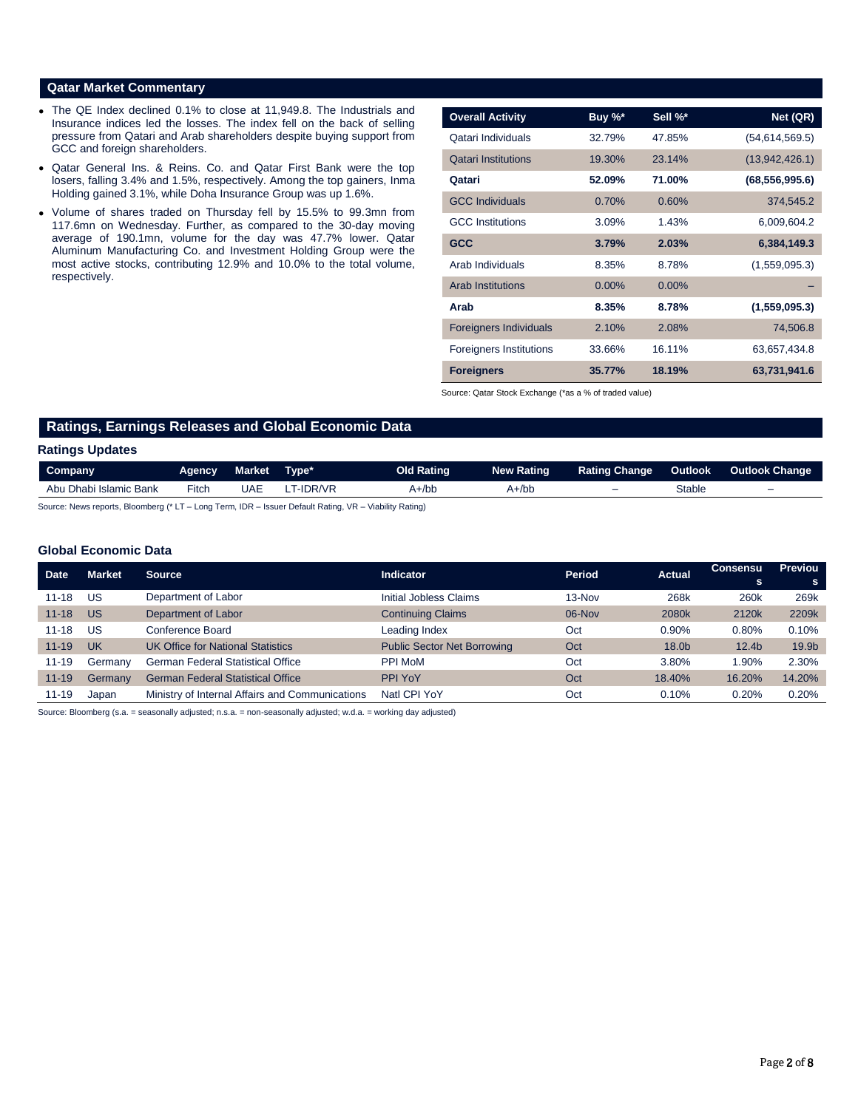#### **Qatar Market Commentary**

- The QE Index declined 0.1% to close at 11,949.8. The Industrials and Insurance indices led the losses. The index fell on the back of selling pressure from Qatari and Arab shareholders despite buying support from GCC and foreign shareholders.
- Qatar General Ins. & Reins. Co. and Qatar First Bank were the top losers, falling 3.4% and 1.5%, respectively. Among the top gainers, Inma Holding gained 3.1%, while Doha Insurance Group was up 1.6%.
- Volume of shares traded on Thursday fell by 15.5% to 99.3mn from 117.6mn on Wednesday. Further, as compared to the 30-day moving average of 190.1mn, volume for the day was 47.7% lower. Qatar Aluminum Manufacturing Co. and Investment Holding Group were the most active stocks, contributing 12.9% and 10.0% to the total volume, respectively.

| <b>Overall Activity</b>        | Buy $\%^*$ | Sell %*  | Net (QR)         |
|--------------------------------|------------|----------|------------------|
| Qatari Individuals             | 32.79%     | 47.85%   | (54,614,569.5)   |
| <b>Oatari Institutions</b>     | 19.30%     | 23.14%   | (13,942,426.1)   |
| Qatari                         | 52.09%     | 71.00%   | (68, 556, 995.6) |
| <b>GCC Individuals</b>         | 0.70%      | 0.60%    | 374,545.2        |
| <b>GCC</b> Institutions        | 3.09%      | 1.43%    | 6,009,604.2      |
| <b>GCC</b>                     | 3.79%      | 2.03%    | 6,384,149.3      |
| Arab Individuals               | 8.35%      | 8.78%    | (1,559,095.3)    |
| <b>Arab Institutions</b>       | $0.00\%$   | $0.00\%$ |                  |
| Arab                           | 8.35%      | 8.78%    | (1,559,095.3)    |
| <b>Foreigners Individuals</b>  | 2.10%      | 2.08%    | 74,506.8         |
| <b>Foreigners Institutions</b> | 33.66%     | 16.11%   | 63,657,434.8     |
| <b>Foreigners</b>              | 35.77%     | 18.19%   | 63,731,941.6     |

Source: Qatar Stock Exchange (\*as a % of traded value)

### **Ratings, Earnings Releases and Global Economic Data**

#### **Ratings Updates**

| Fitch<br>T-IDR/VR<br>Abu Dhabi Islamic Bank<br>JAE<br>Stable<br>A+/bb<br>$A+1$ bb<br>-<br>$\overline{\phantom{0}}$ | Company | Agency. | <b>Market</b> | Type* | <b>Old Rating</b> | <b>New Rating</b> | Rating Change | <b>Outlook</b> | Outlook Change |
|--------------------------------------------------------------------------------------------------------------------|---------|---------|---------------|-------|-------------------|-------------------|---------------|----------------|----------------|
|                                                                                                                    |         |         |               |       |                   |                   |               |                |                |

Source: News reports, Bloomberg (\* LT – Long Term, IDR – Issuer Default Rating, VR – Viability Rating)

#### **Global Economic Data**

| <b>Date</b> | <b>Market</b> | <b>Source</b>                                   | <b>Indicator</b>                   | <b>Period</b> | Actual | <b>Consensu</b>   | <b>Previou</b> |
|-------------|---------------|-------------------------------------------------|------------------------------------|---------------|--------|-------------------|----------------|
|             |               |                                                 |                                    |               |        | s                 | s              |
| $11 - 18$   | US            | Department of Labor                             | <b>Initial Jobless Claims</b>      | $13-Nov$      | 268k   | 260k              | 269k           |
| $11 - 18$   | <b>US</b>     | Department of Labor                             | <b>Continuing Claims</b>           | 06-Nov        | 2080k  | 2120k             | 2209k          |
| $11 - 18$   | US            | Conference Board                                | Leading Index                      | Oct           | 0.90%  | 0.80%             | 0.10%          |
| $11 - 19$   | <b>UK</b>     | <b>UK Office for National Statistics</b>        | <b>Public Sector Net Borrowing</b> | Oct           | 18.0b  | 12.4 <sub>b</sub> | 19.9b          |
| $11 - 19$   | Germany       | <b>German Federal Statistical Office</b>        | PPI MoM                            | Oct           | 3.80%  | .90%              | 2.30%          |
| $11 - 19$   | Germany       | <b>German Federal Statistical Office</b>        | PPI YoY                            | Oct           | 18.40% | 16.20%            | 14.20%         |
| 11-19       | Japan         | Ministry of Internal Affairs and Communications | Natl CPI YoY                       | Oct           | 0.10%  | 0.20%             | 0.20%          |

Source: Bloomberg (s.a. = seasonally adjusted; n.s.a. = non-seasonally adjusted; w.d.a. = working day adjusted)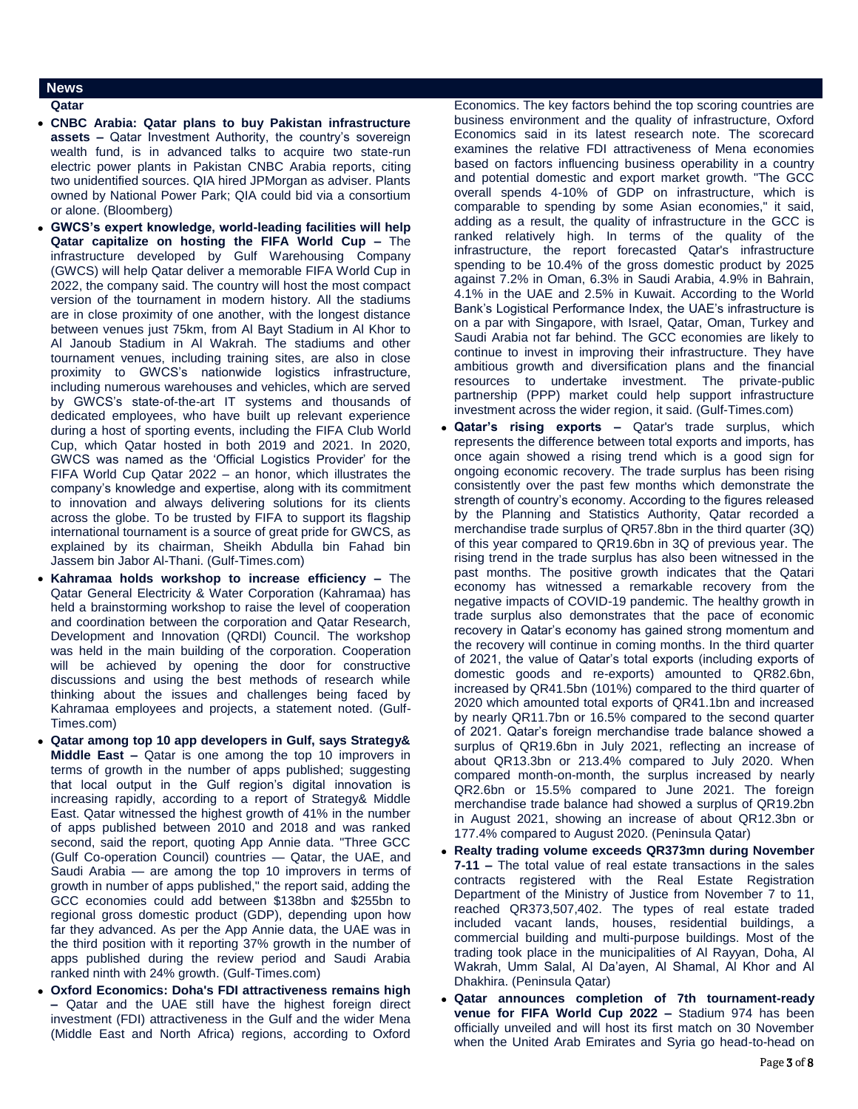#### **News**

**Qatar** 

- **CNBC Arabia: Qatar plans to buy Pakistan infrastructure assets –** Qatar Investment Authority, the country's sovereign wealth fund, is in advanced talks to acquire two state-run electric power plants in Pakistan CNBC Arabia reports, citing two unidentified sources. QIA hired JPMorgan as adviser. Plants owned by National Power Park; QIA could bid via a consortium or alone. (Bloomberg)
- **GWCS's expert knowledge, world-leading facilities will help Qatar capitalize on hosting the FIFA World Cup –** The infrastructure developed by Gulf Warehousing Company (GWCS) will help Qatar deliver a memorable FIFA World Cup in 2022, the company said. The country will host the most compact version of the tournament in modern history. All the stadiums are in close proximity of one another, with the longest distance between venues just 75km, from Al Bayt Stadium in Al Khor to Al Janoub Stadium in Al Wakrah. The stadiums and other tournament venues, including training sites, are also in close proximity to GWCS's nationwide logistics infrastructure, including numerous warehouses and vehicles, which are served by GWCS's state-of-the-art IT systems and thousands of dedicated employees, who have built up relevant experience during a host of sporting events, including the FIFA Club World Cup, which Qatar hosted in both 2019 and 2021. In 2020, GWCS was named as the 'Official Logistics Provider' for the FIFA World Cup Qatar 2022 – an honor, which illustrates the company's knowledge and expertise, along with its commitment to innovation and always delivering solutions for its clients across the globe. To be trusted by FIFA to support its flagship international tournament is a source of great pride for GWCS, as explained by its chairman, Sheikh Abdulla bin Fahad bin Jassem bin Jabor Al-Thani. (Gulf-Times.com)
- **Kahramaa holds workshop to increase efficiency –** The Qatar General Electricity & Water Corporation (Kahramaa) has held a brainstorming workshop to raise the level of cooperation and coordination between the corporation and Qatar Research, Development and Innovation (QRDI) Council. The workshop was held in the main building of the corporation. Cooperation will be achieved by opening the door for constructive discussions and using the best methods of research while thinking about the issues and challenges being faced by Kahramaa employees and projects, a statement noted. (Gulf-Times.com)
- **Qatar among top 10 app developers in Gulf, says Strategy& Middle East –** Qatar is one among the top 10 improvers in terms of growth in the number of apps published; suggesting that local output in the Gulf region's digital innovation is increasing rapidly, according to a report of Strategy& Middle East. Qatar witnessed the highest growth of 41% in the number of apps published between 2010 and 2018 and was ranked second, said the report, quoting App Annie data. "Three GCC (Gulf Co-operation Council) countries — Qatar, the UAE, and Saudi Arabia — are among the top 10 improvers in terms of growth in number of apps published," the report said, adding the GCC economies could add between \$138bn and \$255bn to regional gross domestic product (GDP), depending upon how far they advanced. As per the App Annie data, the UAE was in the third position with it reporting 37% growth in the number of apps published during the review period and Saudi Arabia ranked ninth with 24% growth. (Gulf-Times.com)
- **Oxford Economics: Doha's FDI attractiveness remains high –** Qatar and the UAE still have the highest foreign direct investment (FDI) attractiveness in the Gulf and the wider Mena (Middle East and North Africa) regions, according to Oxford

Economics. The key factors behind the top scoring countries are business environment and the quality of infrastructure, Oxford Economics said in its latest research note. The scorecard examines the relative FDI attractiveness of Mena economies based on factors influencing business operability in a country and potential domestic and export market growth. "The GCC overall spends 4-10% of GDP on infrastructure, which is comparable to spending by some Asian economies," it said, adding as a result, the quality of infrastructure in the GCC is ranked relatively high. In terms of the quality of the infrastructure, the report forecasted Qatar's infrastructure spending to be 10.4% of the gross domestic product by 2025 against 7.2% in Oman, 6.3% in Saudi Arabia, 4.9% in Bahrain, 4.1% in the UAE and 2.5% in Kuwait. According to the World Bank's Logistical Performance Index, the UAE's infrastructure is on a par with Singapore, with Israel, Qatar, Oman, Turkey and Saudi Arabia not far behind. The GCC economies are likely to continue to invest in improving their infrastructure. They have ambitious growth and diversification plans and the financial resources to undertake investment. The private-public partnership (PPP) market could help support infrastructure investment across the wider region, it said. (Gulf-Times.com)

- **Qatar's rising exports –** Qatar's trade surplus, which represents the difference between total exports and imports, has once again showed a rising trend which is a good sign for ongoing economic recovery. The trade surplus has been rising consistently over the past few months which demonstrate the strength of country's economy. According to the figures released by the Planning and Statistics Authority, Qatar recorded a merchandise trade surplus of QR57.8bn in the third quarter (3Q) of this year compared to QR19.6bn in 3Q of previous year. The rising trend in the trade surplus has also been witnessed in the past months. The positive growth indicates that the Qatari economy has witnessed a remarkable recovery from the negative impacts of COVID-19 pandemic. The healthy growth in trade surplus also demonstrates that the pace of economic recovery in Qatar's economy has gained strong momentum and the recovery will continue in coming months. In the third quarter of 2021, the value of Qatar's total exports (including exports of domestic goods and re-exports) amounted to QR82.6bn, increased by QR41.5bn (101%) compared to the third quarter of 2020 which amounted total exports of QR41.1bn and increased by nearly QR11.7bn or 16.5% compared to the second quarter of 2021. Qatar's foreign merchandise trade balance showed a surplus of QR19.6bn in July 2021, reflecting an increase of about QR13.3bn or 213.4% compared to July 2020. When compared month-on-month, the surplus increased by nearly QR2.6bn or 15.5% compared to June 2021. The foreign merchandise trade balance had showed a surplus of QR19.2bn in August 2021, showing an increase of about QR12.3bn or 177.4% compared to August 2020. (Peninsula Qatar)
- **Realty trading volume exceeds QR373mn during November 7-11 –** The total value of real estate transactions in the sales contracts registered with the Real Estate Registration Department of the Ministry of Justice from November 7 to 11, reached QR373,507,402. The types of real estate traded included vacant lands, houses, residential buildings, a commercial building and multi-purpose buildings. Most of the trading took place in the municipalities of Al Rayyan, Doha, Al Wakrah, Umm Salal, Al Da'ayen, Al Shamal, Al Khor and Al Dhakhira. (Peninsula Qatar)
- **Qatar announces completion of 7th tournament-ready venue for FIFA World Cup 2022 –** Stadium 974 has been officially unveiled and will host its first match on 30 November when the United Arab Emirates and Syria go head-to-head on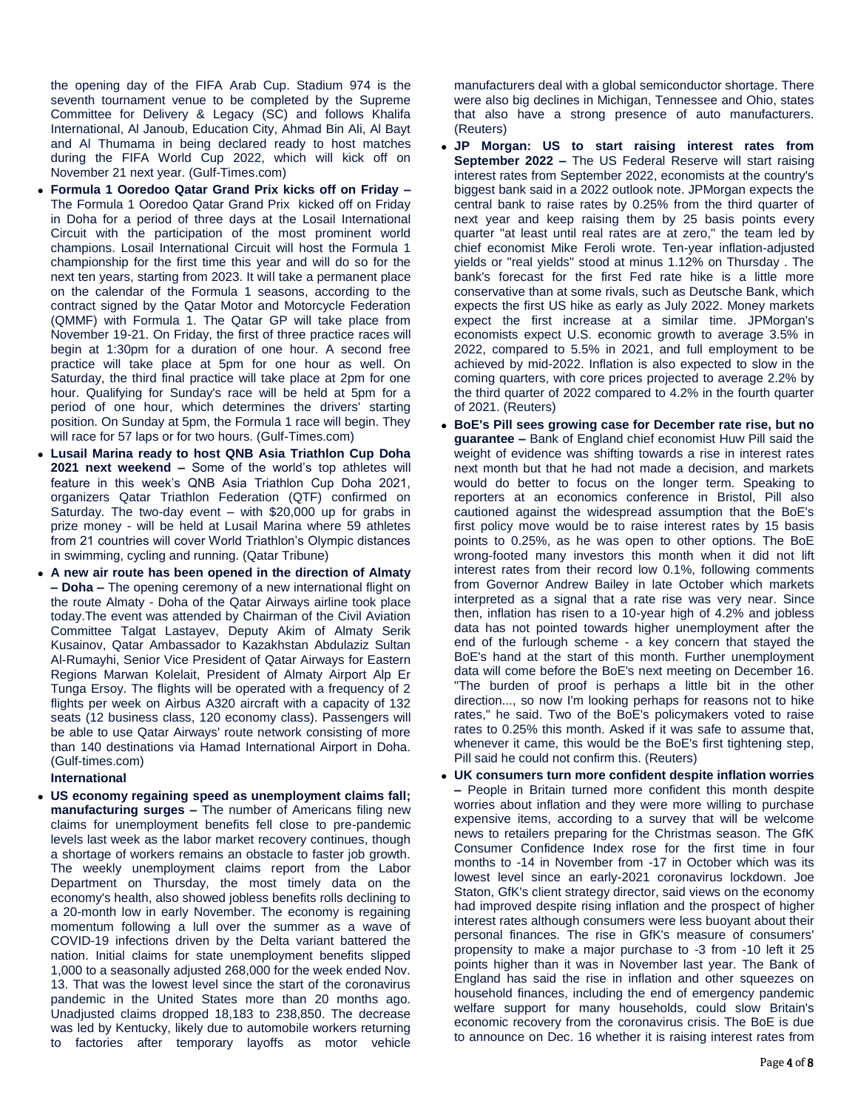the opening day of the FIFA Arab Cup. Stadium 974 is the seventh tournament venue to be completed by the Supreme Committee for Delivery & Legacy (SC) and follows Khalifa International, Al Janoub, Education City, Ahmad Bin Ali, Al Bayt and Al Thumama in being declared ready to host matches during the FIFA World Cup 2022, which will kick off on November 21 next year. (Gulf-Times.com)

- **Formula 1 Ooredoo Qatar Grand Prix kicks off on Friday –** The Formula 1 Ooredoo Qatar Grand Prix kicked off on Friday in Doha for a period of three days at the Losail International Circuit with the participation of the most prominent world champions. Losail International Circuit will host the Formula 1 championship for the first time this year and will do so for the next ten years, starting from 2023. It will take a permanent place on the calendar of the Formula 1 seasons, according to the contract signed by the Qatar Motor and Motorcycle Federation (QMMF) with Formula 1. The Qatar GP will take place from November 19-21. On Friday, the first of three practice races will begin at 1:30pm for a duration of one hour. A second free practice will take place at 5pm for one hour as well. On Saturday, the third final practice will take place at 2pm for one hour. Qualifying for Sunday's race will be held at 5pm for a period of one hour, which determines the drivers' starting position. On Sunday at 5pm, the Formula 1 race will begin. They will race for 57 laps or for two hours. (Gulf-Times.com)
- **Lusail Marina ready to host QNB Asia Triathlon Cup Doha 2021 next weekend –** Some of the world's top athletes will feature in this week's QNB Asia Triathlon Cup Doha 2021, organizers Qatar Triathlon Federation (QTF) confirmed on Saturday. The two-day event – with \$20,000 up for grabs in prize money - will be held at Lusail Marina where 59 athletes from 21 countries will cover World Triathlon's Olympic distances in swimming, cycling and running. (Qatar Tribune)
- **A new air route has been opened in the direction of Almaty – Doha –** The opening ceremony of a new international flight on the route Almaty - Doha of the Qatar Airways airline took place today.The event was attended by Chairman of the Civil Aviation Committee Talgat Lastayev, Deputy Akim of Almaty Serik Kusainov, Qatar Ambassador to Kazakhstan Abdulaziz Sultan Al-Rumayhi, Senior Vice President of Qatar Airways for Eastern Regions Marwan Kolelait, President of Almaty Airport Alp Er Tunga Ersoy. The flights will be operated with a frequency of 2 flights per week on Airbus A320 aircraft with a capacity of 132 seats (12 business class, 120 economy class). Passengers will be able to use Qatar Airways' route network consisting of more than 140 destinations via Hamad International Airport in Doha. (Gulf-times.com)

#### **International**

 **US economy regaining speed as unemployment claims fall; manufacturing surges –** The number of Americans filing new claims for unemployment benefits fell close to pre-pandemic levels last week as the labor market recovery continues, though a shortage of workers remains an obstacle to faster job growth. The weekly unemployment claims report from the Labor Department on Thursday, the most timely data on the economy's health, also showed jobless benefits rolls declining to a 20-month low in early November. The economy is regaining momentum following a lull over the summer as a wave of COVID-19 infections driven by the Delta variant battered the nation. Initial claims for state unemployment benefits slipped 1,000 to a seasonally adjusted 268,000 for the week ended Nov. 13. That was the lowest level since the start of the coronavirus pandemic in the United States more than 20 months ago. Unadjusted claims dropped 18,183 to 238,850. The decrease was led by Kentucky, likely due to automobile workers returning to factories after temporary layoffs as motor vehicle

manufacturers deal with a global semiconductor shortage. There were also big declines in Michigan, Tennessee and Ohio, states that also have a strong presence of auto manufacturers. (Reuters)

- **JP Morgan: US to start raising interest rates from September 2022 –** The US Federal Reserve will start raising interest rates from September 2022, economists at the country's biggest bank said in a 2022 outlook note. JPMorgan expects the central bank to raise rates by 0.25% from the third quarter of next year and keep raising them by 25 basis points every quarter "at least until real rates are at zero," the team led by chief economist Mike Feroli wrote. Ten-year inflation-adjusted yields or "real yields" stood at minus 1.12% on Thursday . The bank's forecast for the first Fed rate hike is a little more conservative than at some rivals, such as Deutsche Bank, which expects the first US hike as early as July 2022. Money markets expect the first increase at a similar time. JPMorgan's economists expect U.S. economic growth to average 3.5% in 2022, compared to 5.5% in 2021, and full employment to be achieved by mid-2022. Inflation is also expected to slow in the coming quarters, with core prices projected to average 2.2% by the third quarter of 2022 compared to 4.2% in the fourth quarter of 2021. (Reuters)
- **BoE's Pill sees growing case for December rate rise, but no guarantee –** Bank of England chief economist Huw Pill said the weight of evidence was shifting towards a rise in interest rates next month but that he had not made a decision, and markets would do better to focus on the longer term. Speaking to reporters at an economics conference in Bristol, Pill also cautioned against the widespread assumption that the BoE's first policy move would be to raise interest rates by 15 basis points to 0.25%, as he was open to other options. The BoE wrong-footed many investors this month when it did not lift interest rates from their record low 0.1%, following comments from Governor Andrew Bailey in late October which markets interpreted as a signal that a rate rise was very near. Since then, inflation has risen to a 10-year high of 4.2% and jobless data has not pointed towards higher unemployment after the end of the furlough scheme - a key concern that stayed the BoE's hand at the start of this month. Further unemployment data will come before the BoE's next meeting on December 16. "The burden of proof is perhaps a little bit in the other direction..., so now I'm looking perhaps for reasons not to hike rates," he said. Two of the BoE's policymakers voted to raise rates to 0.25% this month. Asked if it was safe to assume that, whenever it came, this would be the BoE's first tightening step, Pill said he could not confirm this. (Reuters)
- **UK consumers turn more confident despite inflation worries –** People in Britain turned more confident this month despite worries about inflation and they were more willing to purchase expensive items, according to a survey that will be welcome news to retailers preparing for the Christmas season. The GfK Consumer Confidence Index rose for the first time in four months to -14 in November from -17 in October which was its lowest level since an early-2021 coronavirus lockdown. Joe Staton, GfK's client strategy director, said views on the economy had improved despite rising inflation and the prospect of higher interest rates although consumers were less buoyant about their personal finances. The rise in GfK's measure of consumers' propensity to make a major purchase to -3 from -10 left it 25 points higher than it was in November last year. The Bank of England has said the rise in inflation and other squeezes on household finances, including the end of emergency pandemic welfare support for many households, could slow Britain's economic recovery from the coronavirus crisis. The BoE is due to announce on Dec. 16 whether it is raising interest rates from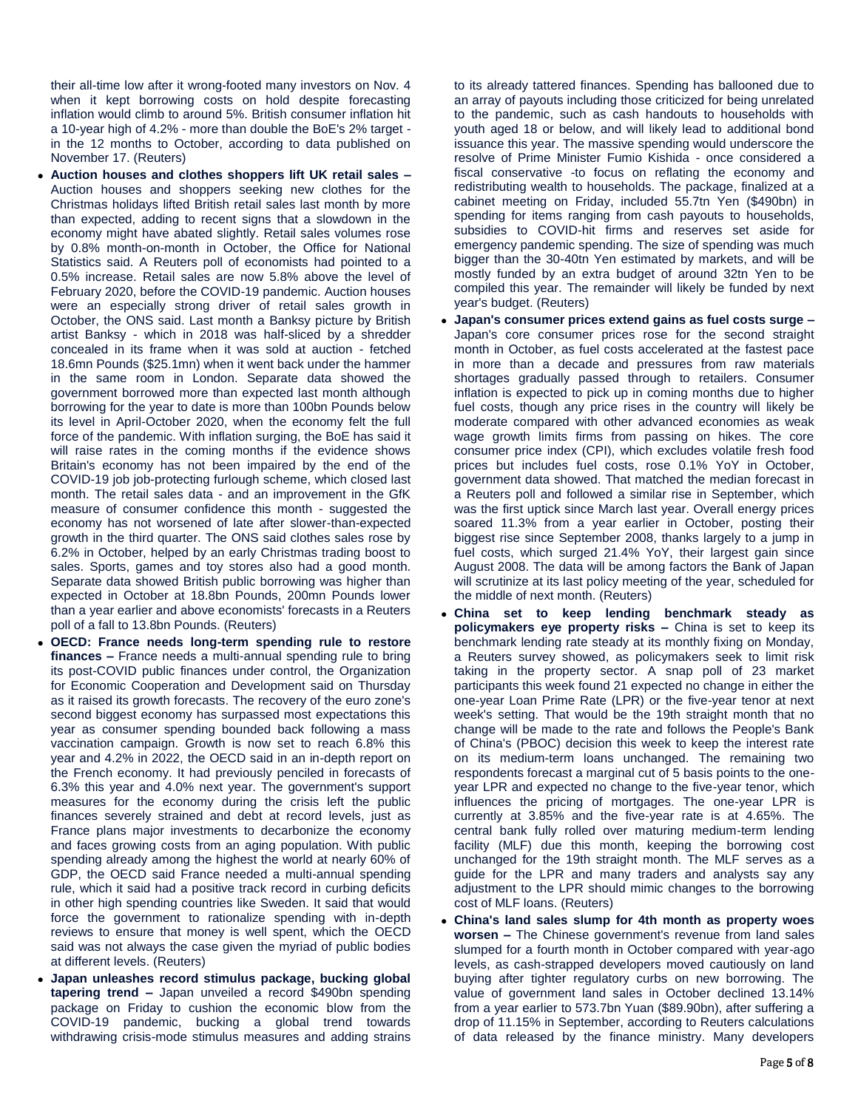their all-time low after it wrong-footed many investors on Nov. 4 when it kept borrowing costs on hold despite forecasting inflation would climb to around 5%. British consumer inflation hit a 10-year high of 4.2% - more than double the BoE's 2% target in the 12 months to October, according to data published on November 17. (Reuters)

- **Auction houses and clothes shoppers lift UK retail sales –** Auction houses and shoppers seeking new clothes for the Christmas holidays lifted British retail sales last month by more than expected, adding to recent signs that a slowdown in the economy might have abated slightly. Retail sales volumes rose by 0.8% month-on-month in October, the Office for National Statistics said. A Reuters poll of economists had pointed to a 0.5% increase. Retail sales are now 5.8% above the level of February 2020, before the COVID-19 pandemic. Auction houses were an especially strong driver of retail sales growth in October, the ONS said. Last month a Banksy picture by British artist Banksy - which in 2018 was half-sliced by a shredder concealed in its frame when it was sold at auction - fetched 18.6mn Pounds (\$25.1mn) when it went back under the hammer in the same room in London. Separate data showed the government borrowed more than expected last month although borrowing for the year to date is more than 100bn Pounds below its level in April-October 2020, when the economy felt the full force of the pandemic. With inflation surging, the BoE has said it will raise rates in the coming months if the evidence shows Britain's economy has not been impaired by the end of the COVID-19 job job-protecting furlough scheme, which closed last month. The retail sales data - and an improvement in the GfK measure of consumer confidence this month - suggested the economy has not worsened of late after slower-than-expected growth in the third quarter. The ONS said clothes sales rose by 6.2% in October, helped by an early Christmas trading boost to sales. Sports, games and toy stores also had a good month. Separate data showed British public borrowing was higher than expected in October at 18.8bn Pounds, 200mn Pounds lower than a year earlier and above economists' forecasts in a Reuters poll of a fall to 13.8bn Pounds. (Reuters)
- **OECD: France needs long-term spending rule to restore finances –** France needs a multi-annual spending rule to bring its post-COVID public finances under control, the Organization for Economic Cooperation and Development said on Thursday as it raised its growth forecasts. The recovery of the euro zone's second biggest economy has surpassed most expectations this year as consumer spending bounded back following a mass vaccination campaign. Growth is now set to reach 6.8% this year and 4.2% in 2022, the OECD said in an in-depth report on the French economy. It had previously penciled in forecasts of 6.3% this year and 4.0% next year. The government's support measures for the economy during the crisis left the public finances severely strained and debt at record levels, just as France plans major investments to decarbonize the economy and faces growing costs from an aging population. With public spending already among the highest the world at nearly 60% of GDP, the OECD said France needed a multi-annual spending rule, which it said had a positive track record in curbing deficits in other high spending countries like Sweden. It said that would force the government to rationalize spending with in-depth reviews to ensure that money is well spent, which the OECD said was not always the case given the myriad of public bodies at different levels. (Reuters)
- **Japan unleashes record stimulus package, bucking global tapering trend –** Japan unveiled a record \$490bn spending package on Friday to cushion the economic blow from the COVID-19 pandemic, bucking a global trend towards withdrawing crisis-mode stimulus measures and adding strains

to its already tattered finances. Spending has ballooned due to an array of payouts including those criticized for being unrelated to the pandemic, such as cash handouts to households with youth aged 18 or below, and will likely lead to additional bond issuance this year. The massive spending would underscore the resolve of Prime Minister Fumio Kishida - once considered a fiscal conservative -to focus on reflating the economy and redistributing wealth to households. The package, finalized at a cabinet meeting on Friday, included 55.7tn Yen (\$490bn) in spending for items ranging from cash payouts to households, subsidies to COVID-hit firms and reserves set aside for emergency pandemic spending. The size of spending was much bigger than the 30-40tn Yen estimated by markets, and will be mostly funded by an extra budget of around 32tn Yen to be compiled this year. The remainder will likely be funded by next year's budget. (Reuters)

- **Japan's consumer prices extend gains as fuel costs surge –** Japan's core consumer prices rose for the second straight month in October, as fuel costs accelerated at the fastest pace in more than a decade and pressures from raw materials shortages gradually passed through to retailers. Consumer inflation is expected to pick up in coming months due to higher fuel costs, though any price rises in the country will likely be moderate compared with other advanced economies as weak wage growth limits firms from passing on hikes. The core consumer price index (CPI), which excludes volatile fresh food prices but includes fuel costs, rose 0.1% YoY in October, government data showed. That matched the median forecast in a Reuters poll and followed a similar rise in September, which was the first uptick since March last year. Overall energy prices soared 11.3% from a year earlier in October, posting their biggest rise since September 2008, thanks largely to a jump in fuel costs, which surged 21.4% YoY, their largest gain since August 2008. The data will be among factors the Bank of Japan will scrutinize at its last policy meeting of the year, scheduled for the middle of next month. (Reuters)
- **China set to keep lending benchmark steady as policymakers eye property risks –** China is set to keep its benchmark lending rate steady at its monthly fixing on Monday, a Reuters survey showed, as policymakers seek to limit risk taking in the property sector. A snap poll of 23 market participants this week found 21 expected no change in either the one-year Loan Prime Rate (LPR) or the five-year tenor at next week's setting. That would be the 19th straight month that no change will be made to the rate and follows the People's Bank of China's (PBOC) decision this week to keep the interest rate on its medium-term loans unchanged. The remaining two respondents forecast a marginal cut of 5 basis points to the oneyear LPR and expected no change to the five-year tenor, which influences the pricing of mortgages. The one-year LPR is currently at 3.85% and the five-year rate is at 4.65%. The central bank fully rolled over maturing medium-term lending facility (MLF) due this month, keeping the borrowing cost unchanged for the 19th straight month. The MLF serves as a guide for the LPR and many traders and analysts say any adjustment to the LPR should mimic changes to the borrowing cost of MLF loans. (Reuters)
- **China's land sales slump for 4th month as property woes worsen –** The Chinese government's revenue from land sales slumped for a fourth month in October compared with year-ago levels, as cash-strapped developers moved cautiously on land buying after tighter regulatory curbs on new borrowing. The value of government land sales in October declined 13.14% from a year earlier to 573.7bn Yuan (\$89.90bn), after suffering a drop of 11.15% in September, according to Reuters calculations of data released by the finance ministry. Many developers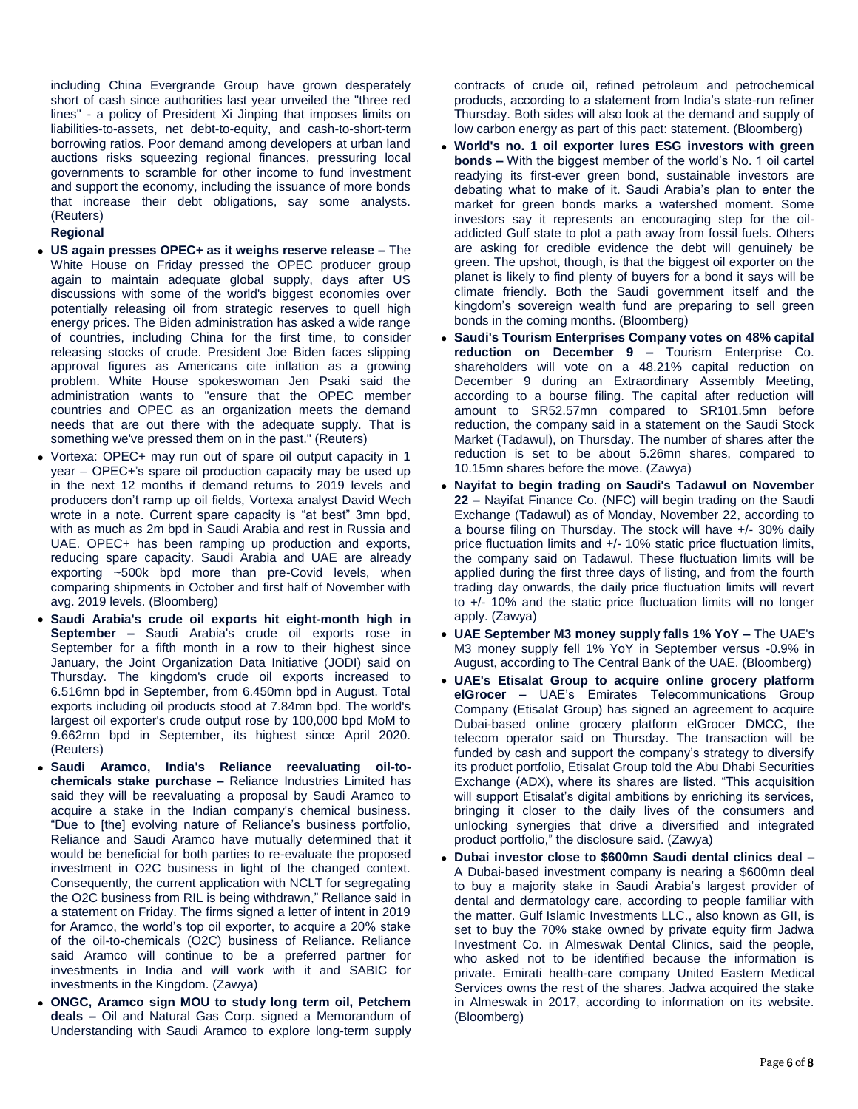including China Evergrande Group have grown desperately short of cash since authorities last year unveiled the "three red lines" - a policy of President Xi Jinping that imposes limits on liabilities-to-assets, net debt-to-equity, and cash-to-short-term borrowing ratios. Poor demand among developers at urban land auctions risks squeezing regional finances, pressuring local governments to scramble for other income to fund investment and support the economy, including the issuance of more bonds that increase their debt obligations, say some analysts. (Reuters)

#### **Regional**

- **US again presses OPEC+ as it weighs reserve release –** The White House on Friday pressed the OPEC producer group again to maintain adequate global supply, days after US discussions with some of the world's biggest economies over potentially releasing oil from strategic reserves to quell high energy prices. The Biden administration has asked a wide range of countries, including China for the first time, to consider releasing stocks of crude. President Joe Biden faces slipping approval figures as Americans cite inflation as a growing problem. White House spokeswoman Jen Psaki said the administration wants to "ensure that the OPEC member countries and OPEC as an organization meets the demand needs that are out there with the adequate supply. That is something we've pressed them on in the past." (Reuters)
- Vortexa: OPEC+ may run out of spare oil output capacity in 1 year – OPEC+'s spare oil production capacity may be used up in the next 12 months if demand returns to 2019 levels and producers don't ramp up oil fields, Vortexa analyst David Wech wrote in a note. Current spare capacity is "at best" 3mn bpd, with as much as 2m bpd in Saudi Arabia and rest in Russia and UAE. OPEC+ has been ramping up production and exports, reducing spare capacity. Saudi Arabia and UAE are already exporting ~500k bpd more than pre-Covid levels, when comparing shipments in October and first half of November with avg. 2019 levels. (Bloomberg)
- **Saudi Arabia's crude oil exports hit eight-month high in September –** Saudi Arabia's crude oil exports rose in September for a fifth month in a row to their highest since January, the Joint Organization Data Initiative (JODI) said on Thursday. The kingdom's crude oil exports increased to 6.516mn bpd in September, from 6.450mn bpd in August. Total exports including oil products stood at 7.84mn bpd. The world's largest oil exporter's crude output rose by 100,000 bpd MoM to 9.662mn bpd in September, its highest since April 2020. (Reuters)
- **Saudi Aramco, India's Reliance reevaluating oil-tochemicals stake purchase –** Reliance Industries Limited has said they will be reevaluating a proposal by Saudi Aramco to acquire a stake in the Indian company's chemical business. "Due to [the] evolving nature of Reliance's business portfolio, Reliance and Saudi Aramco have mutually determined that it would be beneficial for both parties to re-evaluate the proposed investment in O2C business in light of the changed context. Consequently, the current application with NCLT for segregating the O2C business from RIL is being withdrawn," Reliance said in a statement on Friday. The firms signed a letter of intent in 2019 for Aramco, the world's top oil exporter, to acquire a 20% stake of the oil-to-chemicals (O2C) business of Reliance. Reliance said Aramco will continue to be a preferred partner for investments in India and will work with it and SABIC for investments in the Kingdom. (Zawya)
- **ONGC, Aramco sign MOU to study long term oil, Petchem deals –** Oil and Natural Gas Corp. signed a Memorandum of Understanding with Saudi Aramco to explore long-term supply

contracts of crude oil, refined petroleum and petrochemical products, according to a statement from India's state-run refiner Thursday. Both sides will also look at the demand and supply of low carbon energy as part of this pact: statement. (Bloomberg)

- **World's no. 1 oil exporter lures ESG investors with green bonds –** With the biggest member of the world's No. 1 oil cartel readying its first-ever green bond, sustainable investors are debating what to make of it. Saudi Arabia's plan to enter the market for green bonds marks a watershed moment. Some investors say it represents an encouraging step for the oiladdicted Gulf state to plot a path away from fossil fuels. Others are asking for credible evidence the debt will genuinely be green. The upshot, though, is that the biggest oil exporter on the planet is likely to find plenty of buyers for a bond it says will be climate friendly. Both the Saudi government itself and the kingdom's sovereign wealth fund are preparing to sell green bonds in the coming months. (Bloomberg)
- **Saudi's Tourism Enterprises Company votes on 48% capital reduction on December 9 –** Tourism Enterprise Co. shareholders will vote on a 48.21% capital reduction on December 9 during an Extraordinary Assembly Meeting, according to a bourse filing. The capital after reduction will amount to SR52.57mn compared to SR101.5mn before reduction, the company said in a statement on the Saudi Stock Market (Tadawul), on Thursday. The number of shares after the reduction is set to be about 5.26mn shares, compared to 10.15mn shares before the move. (Zawya)
- **Nayifat to begin trading on Saudi's Tadawul on November 22 –** Nayifat Finance Co. (NFC) will begin trading on the Saudi Exchange (Tadawul) as of Monday, November 22, according to a bourse filing on Thursday. The stock will have +/- 30% daily price fluctuation limits and +/- 10% static price fluctuation limits, the company said on Tadawul. These fluctuation limits will be applied during the first three days of listing, and from the fourth trading day onwards, the daily price fluctuation limits will revert to +/- 10% and the static price fluctuation limits will no longer apply. (Zawya)
- **UAE September M3 money supply falls 1% YoY –** The UAE's M3 money supply fell 1% YoY in September versus -0.9% in August, according to The Central Bank of the UAE. (Bloomberg)
- **UAE's Etisalat Group to acquire online grocery platform elGrocer –** UAE's Emirates Telecommunications Group Company (Etisalat Group) has signed an agreement to acquire Dubai-based online grocery platform elGrocer DMCC, the telecom operator said on Thursday. The transaction will be funded by cash and support the company's strategy to diversify its product portfolio, Etisalat Group told the Abu Dhabi Securities Exchange (ADX), where its shares are listed. "This acquisition will support Etisalat's digital ambitions by enriching its services, bringing it closer to the daily lives of the consumers and unlocking synergies that drive a diversified and integrated product portfolio," the disclosure said. (Zawya)
- **Dubai investor close to \$600mn Saudi dental clinics deal –** A Dubai-based investment company is nearing a \$600mn deal to buy a majority stake in Saudi Arabia's largest provider of dental and dermatology care, according to people familiar with the matter. Gulf Islamic Investments LLC., also known as GII, is set to buy the 70% stake owned by private equity firm Jadwa Investment Co. in Almeswak Dental Clinics, said the people, who asked not to be identified because the information is private. Emirati health-care company United Eastern Medical Services owns the rest of the shares. Jadwa acquired the stake in Almeswak in 2017, according to information on its website. (Bloomberg)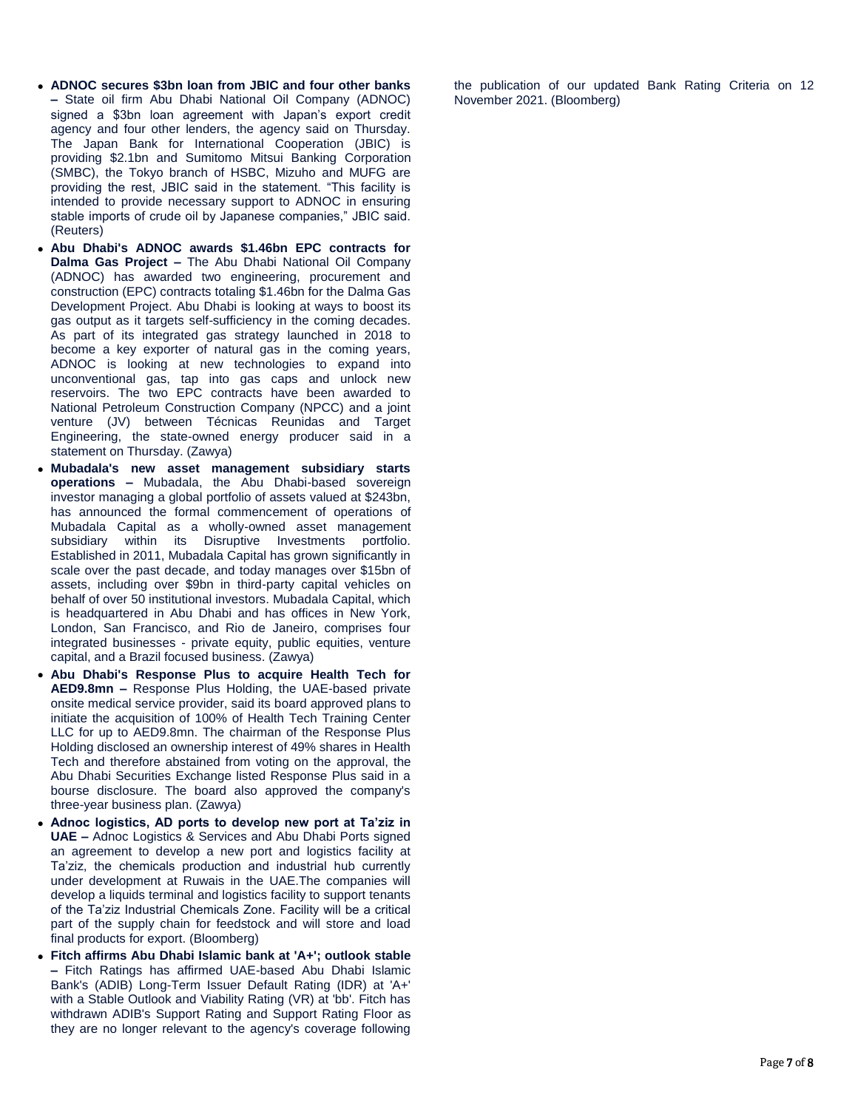- **ADNOC secures \$3bn loan from JBIC and four other banks –** State oil firm Abu Dhabi National Oil Company (ADNOC) signed a \$3bn loan agreement with Japan's export credit agency and four other lenders, the agency said on Thursday. The Japan Bank for International Cooperation (JBIC) is providing \$2.1bn and Sumitomo Mitsui Banking Corporation (SMBC), the Tokyo branch of HSBC, Mizuho and MUFG are providing the rest, JBIC said in the statement. "This facility is intended to provide necessary support to ADNOC in ensuring stable imports of crude oil by Japanese companies," JBIC said. (Reuters)
- **Abu Dhabi's ADNOC awards \$1.46bn EPC contracts for Dalma Gas Project –** The Abu Dhabi National Oil Company (ADNOC) has awarded two engineering, procurement and construction (EPC) contracts totaling \$1.46bn for the Dalma Gas Development Project. Abu Dhabi is looking at ways to boost its gas output as it targets self-sufficiency in the coming decades. As part of its integrated gas strategy launched in 2018 to become a key exporter of natural gas in the coming years, ADNOC is looking at new technologies to expand into unconventional gas, tap into gas caps and unlock new reservoirs. The two EPC contracts have been awarded to National Petroleum Construction Company (NPCC) and a joint venture (JV) between Técnicas Reunidas and Target Engineering, the state-owned energy producer said in a statement on Thursday. (Zawya)
- **Mubadala's new asset management subsidiary starts operations –** Mubadala, the Abu Dhabi-based sovereign investor managing a global portfolio of assets valued at \$243bn, has announced the formal commencement of operations of Mubadala Capital as a wholly-owned asset management subsidiary within its Disruptive Investments portfolio. Established in 2011, Mubadala Capital has grown significantly in scale over the past decade, and today manages over \$15bn of assets, including over \$9bn in third-party capital vehicles on behalf of over 50 institutional investors. Mubadala Capital, which is headquartered in Abu Dhabi and has offices in New York, London, San Francisco, and Rio de Janeiro, comprises four integrated businesses - private equity, public equities, venture capital, and a Brazil focused business. (Zawya)
- **Abu Dhabi's Response Plus to acquire Health Tech for AED9.8mn –** Response Plus Holding, the UAE-based private onsite medical service provider, said its board approved plans to initiate the acquisition of 100% of Health Tech Training Center LLC for up to AED9.8mn. The chairman of the Response Plus Holding disclosed an ownership interest of 49% shares in Health Tech and therefore abstained from voting on the approval, the Abu Dhabi Securities Exchange listed Response Plus said in a bourse disclosure. The board also approved the company's three-year business plan. (Zawya)
- **Adnoc logistics, AD ports to develop new port at Ta'ziz in UAE –** Adnoc Logistics & Services and Abu Dhabi Ports signed an agreement to develop a new port and logistics facility at Ta'ziz, the chemicals production and industrial hub currently under development at Ruwais in the UAE.The companies will develop a liquids terminal and logistics facility to support tenants of the Ta'ziz Industrial Chemicals Zone. Facility will be a critical part of the supply chain for feedstock and will store and load final products for export. (Bloomberg)
- **Fitch affirms Abu Dhabi Islamic bank at 'A+'; outlook stable –** Fitch Ratings has affirmed UAE-based Abu Dhabi Islamic Bank's (ADIB) Long-Term Issuer Default Rating (IDR) at 'A+' with a Stable Outlook and Viability Rating (VR) at 'bb'. Fitch has withdrawn ADIB's Support Rating and Support Rating Floor as they are no longer relevant to the agency's coverage following

the publication of our updated Bank Rating Criteria on 12 November 2021. (Bloomberg)